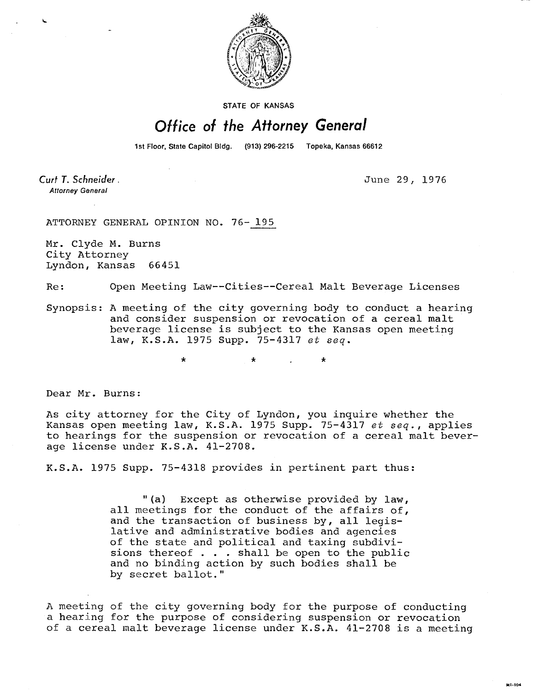

**STATE OF KANSAS** 

## Office of the Attorney General

1st Floor, State Capitol Bldg. (913) 296-2215 Topeka, Kansas 66612

Curt T. Schneider. **Attorney General** 

June 29, 1976

ATTORNEY GENERAL OPINION NO. 76- 195

Mr. Clyde M. Burns City Attorney Lyndon, Kansas 66451

Re: Open Meeting Law--Cities--Cereal Malt Beverage Licenses

Synopsis: A meeting of the city governing body to conduct a hearing and consider suspension or revocation of a cereal malt beverage license is subject to the Kansas open meeting law, K.S.A. 1975 Supp. 75-4317 et seq.

 $\star$ 

Dear Mr. Burns:

As city attorney for the City of Lyndon, you inquire whether the Kansas open meeting law, K.S.A. 1975 Supp. 75-4317 et seq., applies to hearings for the suspension or revocation of a cereal malt beverage license under K.S.A. 41-2708.

K.S.A. 1975 Supp. 75-4318 provides in pertinent part thus:

"(a) Except as otherwise provided by law, all meetings for the conduct of the affairs of, and the transaction of business by, all legislative and administrative bodies and agencies of the state and political and taxing subdivisions thereof . . . shall be open to the public and no binding action by such bodies shall be by secret ballot."

A meeting of the city governing body for the purpose of conducting a hearing for the purpose of considering suspension or revocation of a cereal malt beverage license under K.S.A. 41-2708 is a meeting